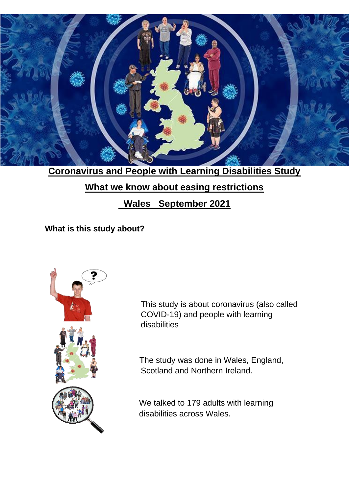

**Coronavirus and People with Learning Disabilities Study**

## **What we know about easing restrictions**

# **Wales September 2021**

**What is this study about?** 



This study is about coronavirus (also called COVID-19) and people with learning disabilities

The study was done in Wales, England, Scotland and Northern Ireland.

We talked to 179 adults with learning disabilities across Wales.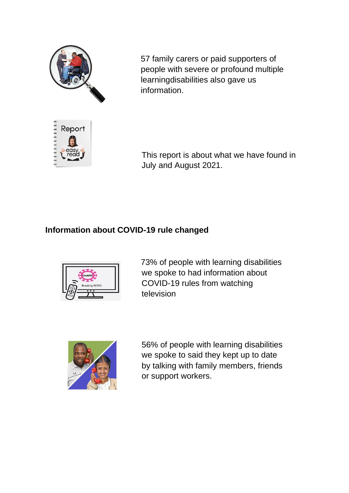

57 family carers or paid supporters of people with severe or profound multiple learningdisabilities also gave us information.

This report is about what we have found in July and August 2021.

#### **Information about COVID-19 rule changed**



73% of people with learning disabilities we spoke to had information about COVID-19 rules from watching television



56% of people with learning disabilities we spoke to said they kept up to date by talking with family members, friends or support workers.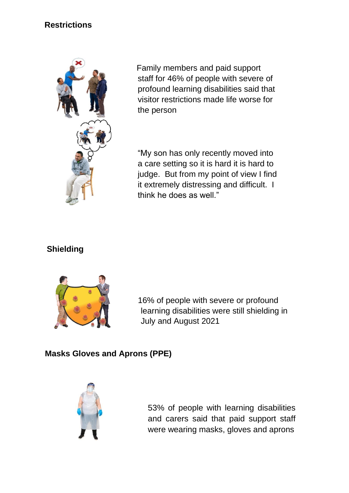## **Restrictions**



 Family members and paid support staff for 46% of people with severe of profound learning disabilities said that visitor restrictions made life worse for the person

"My son has only recently moved into a care setting so it is hard it is hard to judge. But from my point of view I find it extremely distressing and difficult. I think he does as well."

## **Shielding**



16% of people with severe or profound learning disabilities were still shielding in July and August 2021

### **Masks Gloves and Aprons (PPE)**



53% of people with learning disabilities and carers said that paid support staff were wearing masks, gloves and aprons